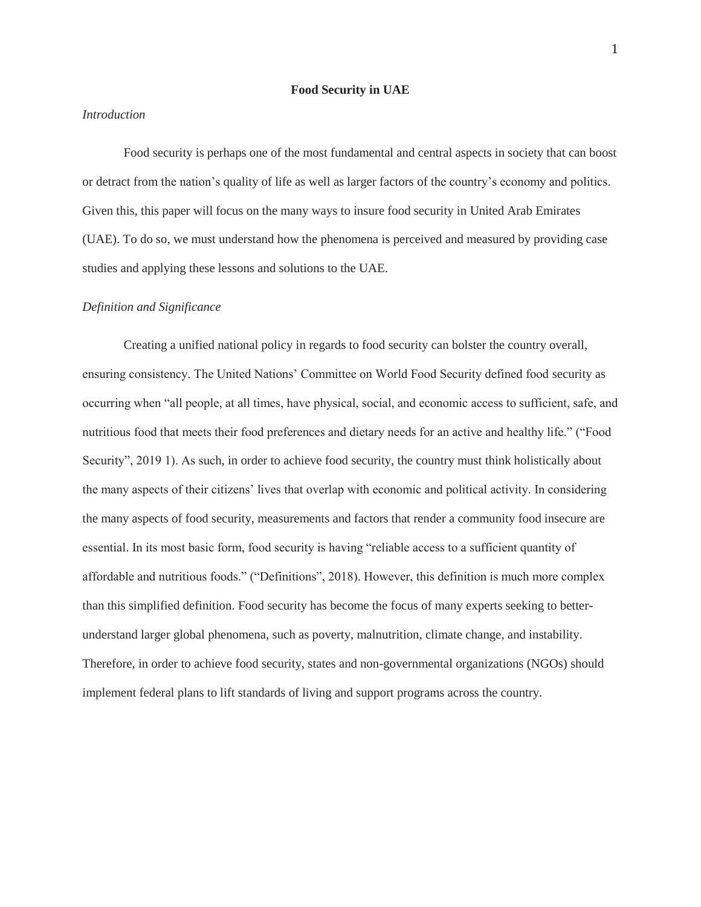#### **Food Security in UAE**

## *Introduction*

Food security is perhaps one of the most fundamental and central aspects in society that can boost or detract from the nation's quality of life as well as larger factors of the country's economy and politics. Given this, this paper will focus on the many ways to insure food security in United Arab Emirates (UAE). To do so, we must understand how the phenomena is perceived and measured by providing case studies and applying these lessons and solutions to the UAE.

### *Definition and Significance*

Creating a unified national policy in regards to food security can bolster the country overall, ensuring consistency. The United Nations' Committee on World Food Security defined food security as occurring when "all people, at all times, have physical, social, and economic access to sufficient, safe, and nutritious food that meets their food preferences and dietary needs for an active and healthy life." ("Food Security", 2019 1). As such, in order to achieve food security, the country must think holistically about the many aspects of their citizens' lives that overlap with economic and political activity. In considering the many aspects of food security, measurements and factors that render a community food insecure are essential. In its most basic form, food security is having "reliable access to a sufficient quantity of affordable and nutritious foods." ("Definitions", 2018). However, this definition is much more complex than this simplified definition. Food security has become the focus of many experts seeking to betterunderstand larger global phenomena, such as poverty, malnutrition, climate change, and instability. Therefore, in order to achieve food security, states and non-governmental organizations (NGOs) should implement federal plans to lift standards of living and support programs across the country.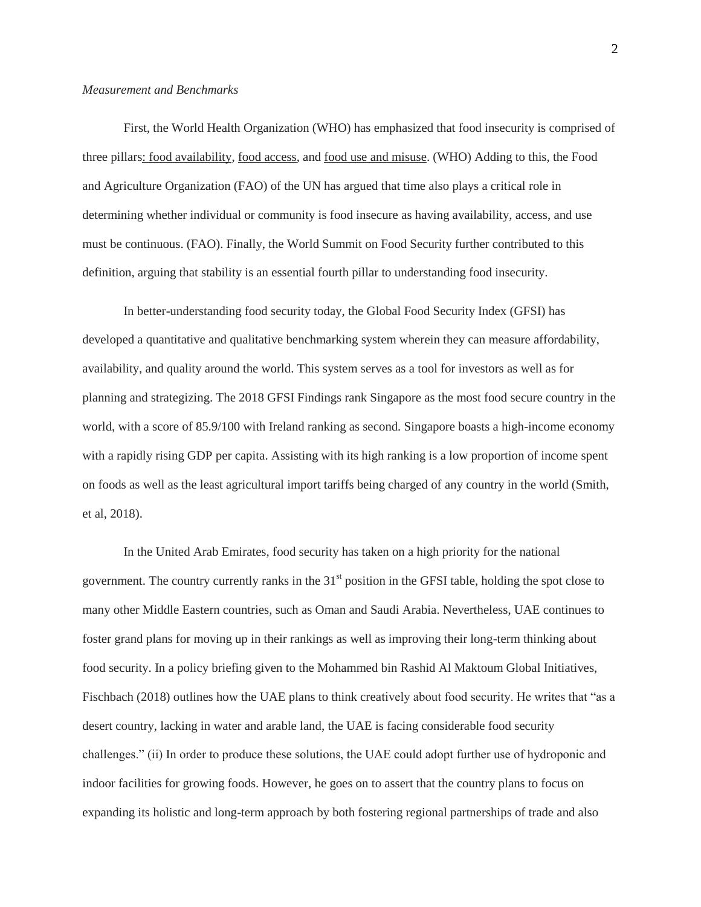#### *Measurement and Benchmarks*

First, the World Health Organization (WHO) has emphasized that food insecurity is comprised of three pillars: food availability, food access, and food use and misuse. (WHO) Adding to this, the Food and Agriculture Organization (FAO) of the UN has argued that time also plays a critical role in determining whether individual or community is food insecure as having availability, access, and use must be continuous. (FAO). Finally, the World Summit on Food Security further contributed to this definition, arguing that stability is an essential fourth pillar to understanding food insecurity.

In better-understanding food security today, the Global Food Security Index (GFSI) has developed a quantitative and qualitative benchmarking system wherein they can measure affordability, availability, and quality around the world. This system serves as a tool for investors as well as for planning and strategizing. The 2018 GFSI Findings rank Singapore as the most food secure country in the world, with a score of 85.9/100 with Ireland ranking as second. Singapore boasts a high-income economy with a rapidly rising GDP per capita. Assisting with its high ranking is a low proportion of income spent on foods as well as the least agricultural import tariffs being charged of any country in the world (Smith, et al, 2018).

In the United Arab Emirates, food security has taken on a high priority for the national government. The country currently ranks in the 31<sup>st</sup> position in the GFSI table, holding the spot close to many other Middle Eastern countries, such as Oman and Saudi Arabia. Nevertheless, UAE continues to foster grand plans for moving up in their rankings as well as improving their long-term thinking about food security. In a policy briefing given to the Mohammed bin Rashid Al Maktoum Global Initiatives, Fischbach (2018) outlines how the UAE plans to think creatively about food security. He writes that "as a desert country, lacking in water and arable land, the UAE is facing considerable food security challenges." (ii) In order to produce these solutions, the UAE could adopt further use of hydroponic and indoor facilities for growing foods. However, he goes on to assert that the country plans to focus on expanding its holistic and long-term approach by both fostering regional partnerships of trade and also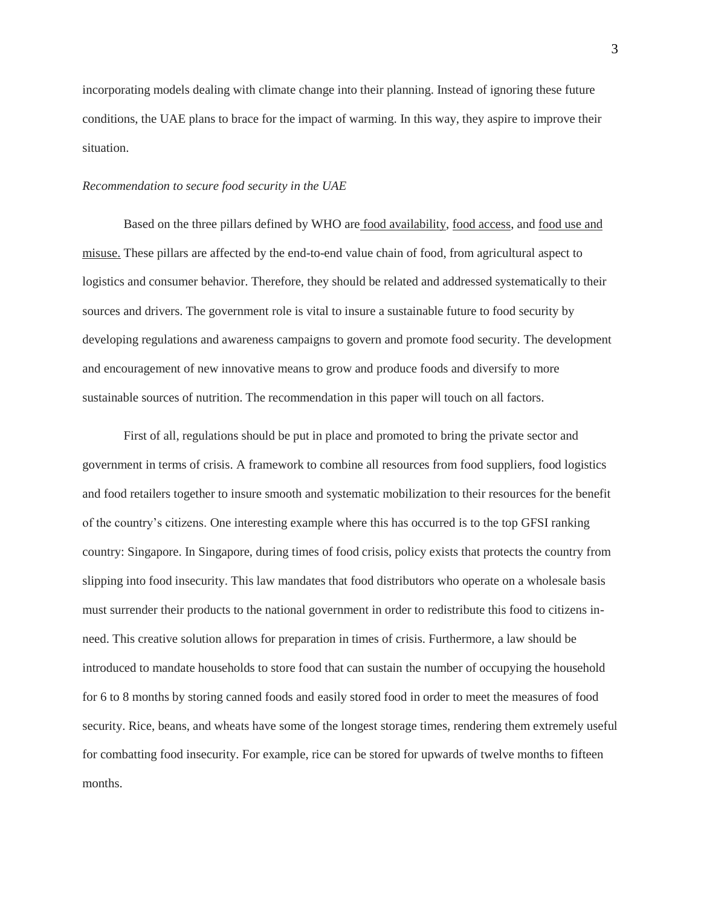incorporating models dealing with climate change into their planning. Instead of ignoring these future conditions, the UAE plans to brace for the impact of warming. In this way, they aspire to improve their situation.

## *Recommendation to secure food security in the UAE*

Based on the three pillars defined by WHO are food availability, food access, and food use and misuse. These pillars are affected by the end-to-end value chain of food, from agricultural aspect to logistics and consumer behavior. Therefore, they should be related and addressed systematically to their sources and drivers. The government role is vital to insure a sustainable future to food security by developing regulations and awareness campaigns to govern and promote food security. The development and encouragement of new innovative means to grow and produce foods and diversify to more sustainable sources of nutrition. The recommendation in this paper will touch on all factors.

First of all, regulations should be put in place and promoted to bring the private sector and government in terms of crisis. A framework to combine all resources from food suppliers, food logistics and food retailers together to insure smooth and systematic mobilization to their resources for the benefit of the country's citizens. One interesting example where this has occurred is to the top GFSI ranking country: Singapore. In Singapore, during times of food crisis, policy exists that protects the country from slipping into food insecurity. This law mandates that food distributors who operate on a wholesale basis must surrender their products to the national government in order to redistribute this food to citizens inneed. This creative solution allows for preparation in times of crisis. Furthermore, a law should be introduced to mandate households to store food that can sustain the number of occupying the household for 6 to 8 months by storing canned foods and easily stored food in order to meet the measures of food security. Rice, beans, and wheats have some of the longest storage times, rendering them extremely useful for combatting food insecurity. For example, rice can be stored for upwards of twelve months to fifteen months.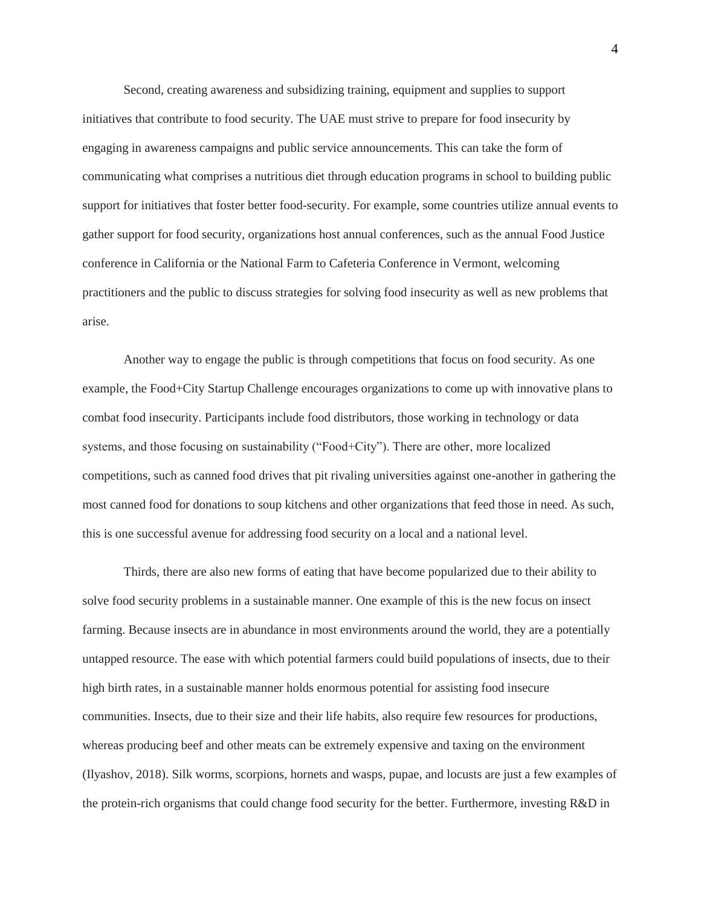Second, creating awareness and subsidizing training, equipment and supplies to support initiatives that contribute to food security. The UAE must strive to prepare for food insecurity by engaging in awareness campaigns and public service announcements. This can take the form of communicating what comprises a nutritious diet through education programs in school to building public support for initiatives that foster better food-security. For example, some countries utilize annual events to gather support for food security, organizations host annual conferences, such as the annual Food Justice conference in California or the National Farm to Cafeteria Conference in Vermont, welcoming practitioners and the public to discuss strategies for solving food insecurity as well as new problems that arise.

Another way to engage the public is through competitions that focus on food security. As one example, the Food+City Startup Challenge encourages organizations to come up with innovative plans to combat food insecurity. Participants include food distributors, those working in technology or data systems, and those focusing on sustainability ("Food+City"). There are other, more localized competitions, such as canned food drives that pit rivaling universities against one-another in gathering the most canned food for donations to soup kitchens and other organizations that feed those in need. As such, this is one successful avenue for addressing food security on a local and a national level.

Thirds, there are also new forms of eating that have become popularized due to their ability to solve food security problems in a sustainable manner. One example of this is the new focus on insect farming. Because insects are in abundance in most environments around the world, they are a potentially untapped resource. The ease with which potential farmers could build populations of insects, due to their high birth rates, in a sustainable manner holds enormous potential for assisting food insecure communities. Insects, due to their size and their life habits, also require few resources for productions, whereas producing beef and other meats can be extremely expensive and taxing on the environment (Ilyashov, 2018). Silk worms, scorpions, hornets and wasps, pupae, and locusts are just a few examples of the protein-rich organisms that could change food security for the better. Furthermore, investing R&D in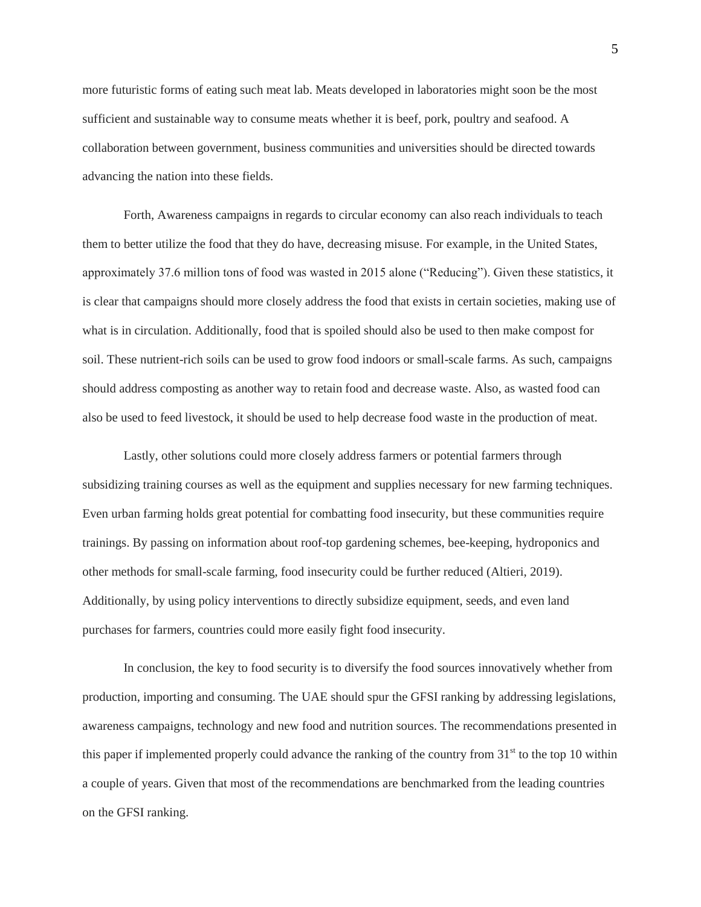more futuristic forms of eating such meat lab. Meats developed in laboratories might soon be the most sufficient and sustainable way to consume meats whether it is beef, pork, poultry and seafood. A collaboration between government, business communities and universities should be directed towards advancing the nation into these fields.

Forth, Awareness campaigns in regards to circular economy can also reach individuals to teach them to better utilize the food that they do have, decreasing misuse. For example, in the United States, approximately 37.6 million tons of food was wasted in 2015 alone ("Reducing"). Given these statistics, it is clear that campaigns should more closely address the food that exists in certain societies, making use of what is in circulation. Additionally, food that is spoiled should also be used to then make compost for soil. These nutrient-rich soils can be used to grow food indoors or small-scale farms. As such, campaigns should address composting as another way to retain food and decrease waste. Also, as wasted food can also be used to feed livestock, it should be used to help decrease food waste in the production of meat.

Lastly, other solutions could more closely address farmers or potential farmers through subsidizing training courses as well as the equipment and supplies necessary for new farming techniques. Even urban farming holds great potential for combatting food insecurity, but these communities require trainings. By passing on information about roof-top gardening schemes, bee-keeping, hydroponics and other methods for small-scale farming, food insecurity could be further reduced (Altieri, 2019). Additionally, by using policy interventions to directly subsidize equipment, seeds, and even land purchases for farmers, countries could more easily fight food insecurity.

In conclusion, the key to food security is to diversify the food sources innovatively whether from production, importing and consuming. The UAE should spur the GFSI ranking by addressing legislations, awareness campaigns, technology and new food and nutrition sources. The recommendations presented in this paper if implemented properly could advance the ranking of the country from  $31<sup>st</sup>$  to the top 10 within a couple of years. Given that most of the recommendations are benchmarked from the leading countries on the GFSI ranking.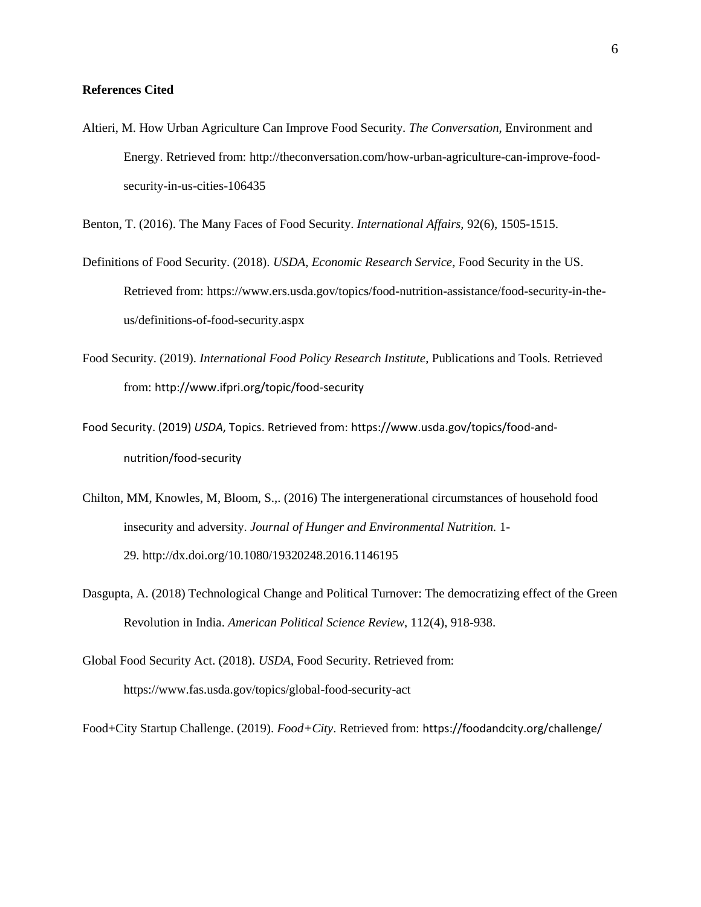# **References Cited**

Altieri, M. How Urban Agriculture Can Improve Food Security. *The Conversation*, Environment and Energy. Retrieved from: http://theconversation.com/how-urban-agriculture-can-improve-foodsecurity-in-us-cities-106435

Benton, T. (2016). The Many Faces of Food Security. *International Affairs,* 92(6), 1505-1515.

- Definitions of Food Security. (2018). *USDA, Economic Research Service*, Food Security in the US. Retrieved from: https://www.ers.usda.gov/topics/food-nutrition-assistance/food-security-in-theus/definitions-of-food-security.aspx
- Food Security. (2019). *International Food Policy Research Institute*, Publications and Tools. Retrieved from: http://www.ifpri.org/topic/food-security
- Food Security. (2019) *USDA*, Topics. Retrieved from: https://www.usda.gov/topics/food-andnutrition/food-security
- Chilton, MM, Knowles, M, Bloom, S.,. (2016) The intergenerational circumstances of household food insecurity and adversity. *Journal of Hunger and Environmental Nutrition.* 1- 29. http://dx.doi.org/10.1080/19320248.2016.1146195
- Dasgupta, A. (2018) Technological Change and Political Turnover: The democratizing effect of the Green Revolution in India. *American Political Science Review*, 112(4), 918-938.
- Global Food Security Act. (2018). *USDA*, Food Security. Retrieved from: https://www.fas.usda.gov/topics/global-food-security-act

Food+City Startup Challenge. (2019). *Food+City*. Retrieved from: https://foodandcity.org/challenge/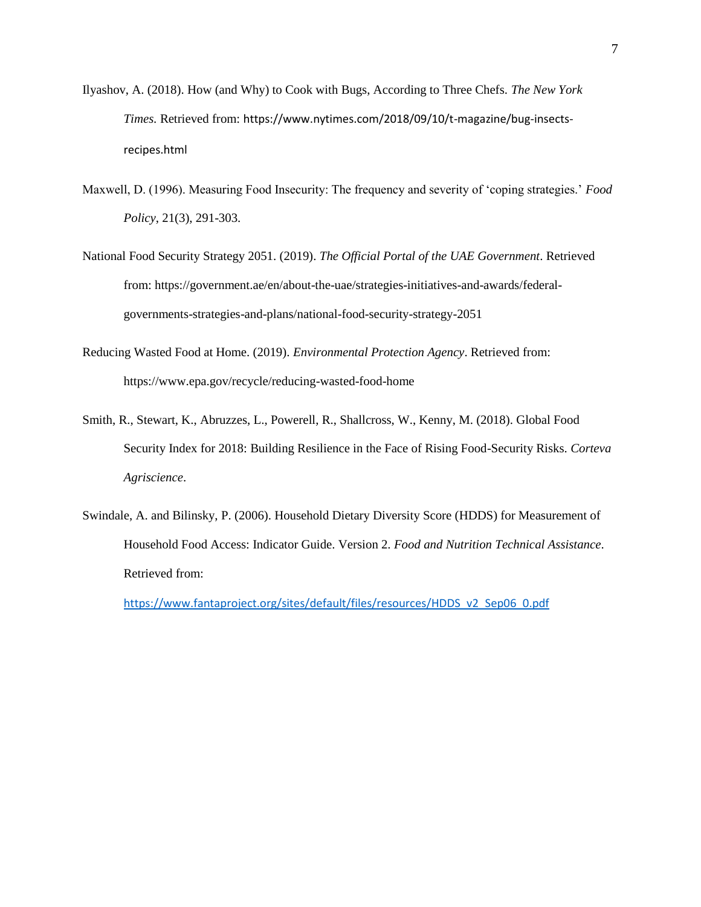- Ilyashov, A. (2018). How (and Why) to Cook with Bugs, According to Three Chefs. *The New York Times.* Retrieved from: https://www.nytimes.com/2018/09/10/t-magazine/bug-insectsrecipes.html
- Maxwell, D. (1996). Measuring Food Insecurity: The frequency and severity of 'coping strategies.' *Food Policy*, 21(3), 291-303.
- National Food Security Strategy 2051. (2019). *The Official Portal of the UAE Government*. Retrieved from: https://government.ae/en/about-the-uae/strategies-initiatives-and-awards/federalgovernments-strategies-and-plans/national-food-security-strategy-2051
- Reducing Wasted Food at Home. (2019). *Environmental Protection Agency*. Retrieved from: https://www.epa.gov/recycle/reducing-wasted-food-home
- Smith, R., Stewart, K., Abruzzes, L., Powerell, R., Shallcross, W., Kenny, M. (2018). Global Food Security Index for 2018: Building Resilience in the Face of Rising Food-Security Risks. *Corteva Agriscience*.
- Swindale, A. and Bilinsky, P. (2006). Household Dietary Diversity Score (HDDS) for Measurement of Household Food Access: Indicator Guide. Version 2. *Food and Nutrition Technical Assistance*. Retrieved from:

[https://www.fantaproject.org/sites/default/files/resources/HDDS\\_v2\\_Sep06\\_0.pdf](https://www.fantaproject.org/sites/default/files/resources/HDDS_v2_Sep06_0.pdf)